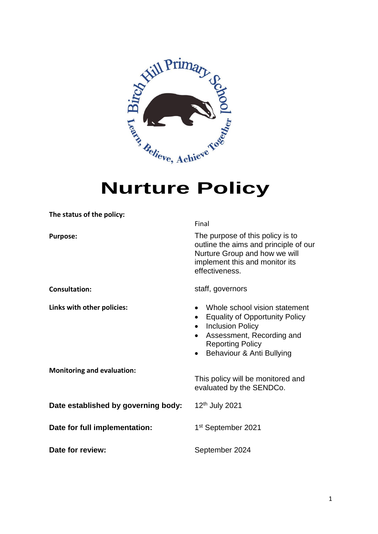

# **Nurture Policy**

| The status of the policy:           |                                                                                                                                                                                                                               |
|-------------------------------------|-------------------------------------------------------------------------------------------------------------------------------------------------------------------------------------------------------------------------------|
|                                     | Final                                                                                                                                                                                                                         |
| <b>Purpose:</b>                     | The purpose of this policy is to<br>outline the aims and principle of our<br>Nurture Group and how we will<br>implement this and monitor its<br>effectiveness.                                                                |
| <b>Consultation:</b>                | staff, governors                                                                                                                                                                                                              |
| Links with other policies:          | Whole school vision statement<br><b>Equality of Opportunity Policy</b><br><b>Inclusion Policy</b><br>$\bullet$<br>Assessment, Recording and<br>$\bullet$<br><b>Reporting Policy</b><br>Behaviour & Anti Bullying<br>$\bullet$ |
| <b>Monitoring and evaluation:</b>   | This policy will be monitored and<br>evaluated by the SENDCo.                                                                                                                                                                 |
| Date established by governing body: | 12 <sup>th</sup> July 2021                                                                                                                                                                                                    |
| Date for full implementation:       | 1 <sup>st</sup> September 2021                                                                                                                                                                                                |
| Date for review:                    | September 2024                                                                                                                                                                                                                |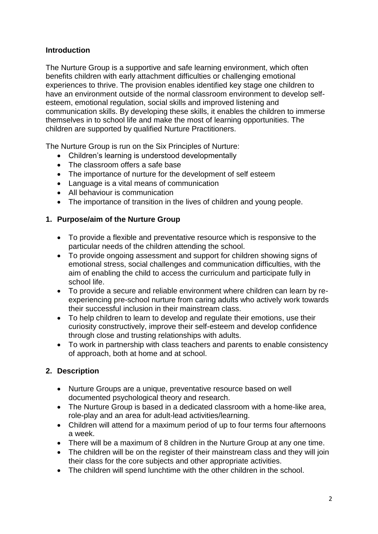## **Introduction**

The Nurture Group is a supportive and safe learning environment, which often benefits children with early attachment difficulties or challenging emotional experiences to thrive. The provision enables identified key stage one children to have an environment outside of the normal classroom environment to develop selfesteem, emotional regulation, social skills and improved listening and communication skills. By developing these skills, it enables the children to immerse themselves in to school life and make the most of learning opportunities. The children are supported by qualified Nurture Practitioners.

The Nurture Group is run on the Six Principles of Nurture:

- Children's learning is understood developmentally
- The classroom offers a safe base
- The importance of nurture for the development of self esteem
- Language is a vital means of communication
- All behaviour is communication
- The importance of transition in the lives of children and young people.

## **1. Purpose/aim of the Nurture Group**

- To provide a flexible and preventative resource which is responsive to the particular needs of the children attending the school.
- To provide ongoing assessment and support for children showing signs of emotional stress, social challenges and communication difficulties, with the aim of enabling the child to access the curriculum and participate fully in school life.
- To provide a secure and reliable environment where children can learn by reexperiencing pre-school nurture from caring adults who actively work towards their successful inclusion in their mainstream class.
- To help children to learn to develop and regulate their emotions, use their curiosity constructively, improve their self-esteem and develop confidence through close and trusting relationships with adults.
- To work in partnership with class teachers and parents to enable consistency of approach, both at home and at school.

## **2. Description**

- Nurture Groups are a unique, preventative resource based on well documented psychological theory and research.
- The Nurture Group is based in a dedicated classroom with a home-like area, role-play and an area for adult-lead activities/learning.
- Children will attend for a maximum period of up to four terms four afternoons a week.
- There will be a maximum of 8 children in the Nurture Group at any one time.
- The children will be on the register of their mainstream class and they will join their class for the core subjects and other appropriate activities.
- The children will spend lunchtime with the other children in the school.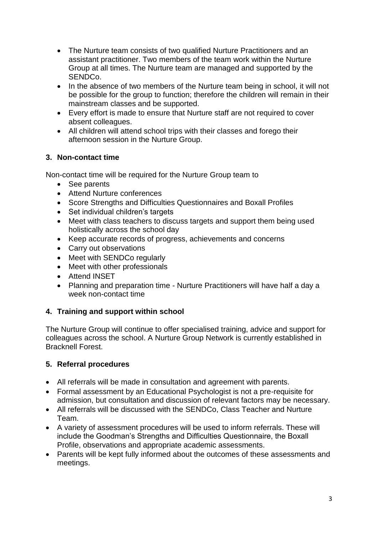- The Nurture team consists of two qualified Nurture Practitioners and an assistant practitioner. Two members of the team work within the Nurture Group at all times. The Nurture team are managed and supported by the SENDCo.
- In the absence of two members of the Nurture team being in school, it will not be possible for the group to function; therefore the children will remain in their mainstream classes and be supported.
- Every effort is made to ensure that Nurture staff are not required to cover absent colleagues.
- All children will attend school trips with their classes and forego their afternoon session in the Nurture Group.

## **3. Non-contact time**

Non-contact time will be required for the Nurture Group team to

- See parents
- Attend Nurture conferences
- Score Strengths and Difficulties Questionnaires and Boxall Profiles
- Set individual children's targets
- Meet with class teachers to discuss targets and support them being used holistically across the school day
- Keep accurate records of progress, achievements and concerns
- Carry out observations
- Meet with SENDCo regularly
- Meet with other professionals
- Attend INSET
- Planning and preparation time Nurture Practitioners will have half a day a week non-contact time

#### **4. Training and support within school**

The Nurture Group will continue to offer specialised training, advice and support for colleagues across the school. A Nurture Group Network is currently established in Bracknell Forest.

#### **5. Referral procedures**

- All referrals will be made in consultation and agreement with parents.
- Formal assessment by an Educational Psychologist is not a pre-requisite for admission, but consultation and discussion of relevant factors may be necessary.
- All referrals will be discussed with the SENDCo, Class Teacher and Nurture Team.
- A variety of assessment procedures will be used to inform referrals. These will include the Goodman's Strengths and Difficulties Questionnaire, the Boxall Profile, observations and appropriate academic assessments.
- Parents will be kept fully informed about the outcomes of these assessments and meetings.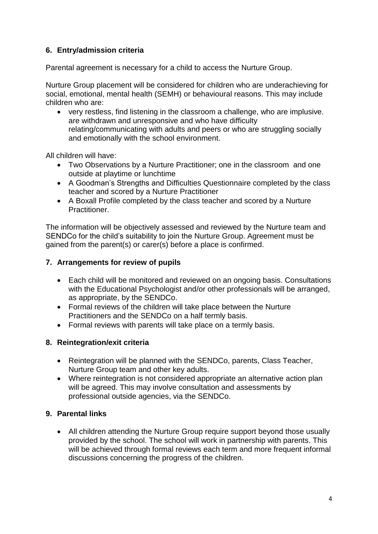## **6. Entry/admission criteria**

Parental agreement is necessary for a child to access the Nurture Group.

Nurture Group placement will be considered for children who are underachieving for social, emotional, mental health (SEMH) or behavioural reasons. This may include children who are:

 very restless, find listening in the classroom a challenge, who are implusive. are withdrawn and unresponsive and who have difficulty relating/communicating with adults and peers or who are struggling socially and emotionally with the school environment.

All children will have:

- Two Observations by a Nurture Practitioner; one in the classroom and one outside at playtime or lunchtime
- A Goodman's Strengths and Difficulties Questionnaire completed by the class teacher and scored by a Nurture Practitioner
- A Boxall Profile completed by the class teacher and scored by a Nurture Practitioner.

The information will be objectively assessed and reviewed by the Nurture team and SENDCo for the child's suitability to join the Nurture Group. Agreement must be gained from the parent(s) or carer(s) before a place is confirmed.

#### **7. Arrangements for review of pupils**

- Each child will be monitored and reviewed on an ongoing basis. Consultations with the Educational Psychologist and/or other professionals will be arranged, as appropriate, by the SENDCo.
- Formal reviews of the children will take place between the Nurture Practitioners and the SENDCo on a half termly basis.
- Formal reviews with parents will take place on a termly basis.

#### **8. Reintegration/exit criteria**

- Reintegration will be planned with the SENDCo, parents, Class Teacher, Nurture Group team and other key adults.
- Where reintegration is not considered appropriate an alternative action plan will be agreed. This may involve consultation and assessments by professional outside agencies, via the SENDCo.

#### **9. Parental links**

 All children attending the Nurture Group require support beyond those usually provided by the school. The school will work in partnership with parents. This will be achieved through formal reviews each term and more frequent informal discussions concerning the progress of the children.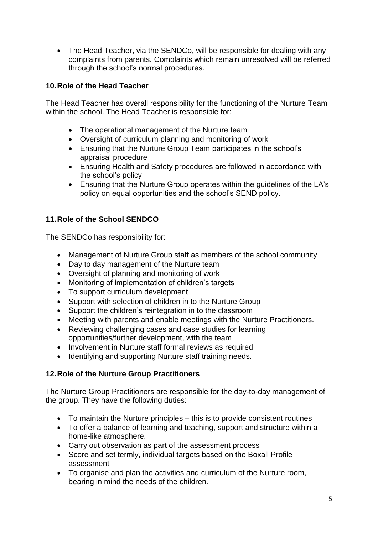• The Head Teacher, via the SENDCo, will be responsible for dealing with any complaints from parents. Complaints which remain unresolved will be referred through the school's normal procedures.

## **10.Role of the Head Teacher**

The Head Teacher has overall responsibility for the functioning of the Nurture Team within the school. The Head Teacher is responsible for:

- The operational management of the Nurture team
- Oversight of curriculum planning and monitoring of work
- Ensuring that the Nurture Group Team participates in the school's appraisal procedure
- Ensuring Health and Safety procedures are followed in accordance with the school's policy
- Ensuring that the Nurture Group operates within the guidelines of the LA's policy on equal opportunities and the school's SEND policy.

## **11.Role of the School SENDCO**

The SENDCo has responsibility for:

- Management of Nurture Group staff as members of the school community
- Day to day management of the Nurture team
- Oversight of planning and monitoring of work
- Monitoring of implementation of children's targets
- To support curriculum development
- Support with selection of children in to the Nurture Group
- Support the children's reintegration in to the classroom
- Meeting with parents and enable meetings with the Nurture Practitioners.
- Reviewing challenging cases and case studies for learning opportunities/further development, with the team
- Involvement in Nurture staff formal reviews as required
- Identifying and supporting Nurture staff training needs.

## **12.Role of the Nurture Group Practitioners**

The Nurture Group Practitioners are responsible for the day-to-day management of the group. They have the following duties:

- To maintain the Nurture principles this is to provide consistent routines
- To offer a balance of learning and teaching, support and structure within a home-like atmosphere.
- Carry out observation as part of the assessment process
- Score and set termly, individual targets based on the Boxall Profile assessment
- To organise and plan the activities and curriculum of the Nurture room, bearing in mind the needs of the children.